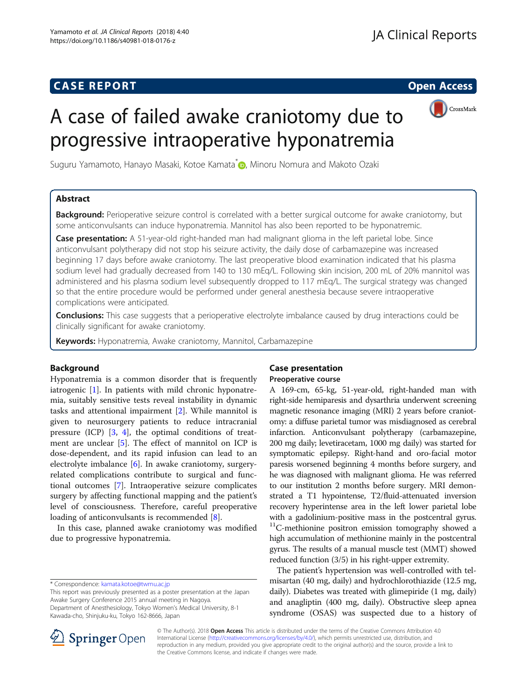## **CASE REPORT CASE REPORT CASE REPORT**



# A case of failed awake craniotomy due to progressive intraoperative hyponatremia

Suguru Yamamoto[,](http://orcid.org/0000-0002-7224-5993) Hanayo Masaki, Kotoe Kamata<sup>\*</sup> D, Minoru Nomura and Makoto Ozaki

## Abstract

Background: Perioperative seizure control is correlated with a better surgical outcome for awake craniotomy, but some anticonvulsants can induce hyponatremia. Mannitol has also been reported to be hyponatremic.

Case presentation: A 51-year-old right-handed man had malignant glioma in the left parietal lobe. Since anticonvulsant polytherapy did not stop his seizure activity, the daily dose of carbamazepine was increased beginning 17 days before awake craniotomy. The last preoperative blood examination indicated that his plasma sodium level had gradually decreased from 140 to 130 mEq/L. Following skin incision, 200 mL of 20% mannitol was administered and his plasma sodium level subsequently dropped to 117 mEq/L. The surgical strategy was changed so that the entire procedure would be performed under general anesthesia because severe intraoperative complications were anticipated.

**Conclusions:** This case suggests that a perioperative electrolyte imbalance caused by drug interactions could be clinically significant for awake craniotomy.

Keywords: Hyponatremia, Awake craniotomy, Mannitol, Carbamazepine

## Background

Hyponatremia is a common disorder that is frequently iatrogenic [\[1](#page-3-0)]. In patients with mild chronic hyponatremia, suitably sensitive tests reveal instability in dynamic tasks and attentional impairment [\[2](#page-3-0)]. While mannitol is given to neurosurgery patients to reduce intracranial pressure (ICP) [[3,](#page-3-0) [4\]](#page-3-0), the optimal conditions of treatment are unclear [\[5\]](#page-3-0). The effect of mannitol on ICP is dose-dependent, and its rapid infusion can lead to an electrolyte imbalance  $[6]$  $[6]$  $[6]$ . In awake craniotomy, surgeryrelated complications contribute to surgical and functional outcomes [\[7\]](#page-3-0). Intraoperative seizure complicates surgery by affecting functional mapping and the patient's level of consciousness. Therefore, careful preoperative loading of anticonvulsants is recommended [\[8\]](#page-3-0).

In this case, planned awake craniotomy was modified due to progressive hyponatremia.

This report was previously presented as a poster presentation at the Japan Awake Surgery Conference 2015 annual meeting in Nagoya. Department of Anesthesiology, Tokyo Women's Medical University, 8-1 Kawada-cho, Shinjuku-ku, Tokyo 162-8666, Japan

## Case presentation Preoperative course

A 169-cm, 65-kg, 51-year-old, right-handed man with right-side hemiparesis and dysarthria underwent screening magnetic resonance imaging (MRI) 2 years before craniotomy: a diffuse parietal tumor was misdiagnosed as cerebral infarction. Anticonvulsant polytherapy (carbamazepine, 200 mg daily; levetiracetam, 1000 mg daily) was started for symptomatic epilepsy. Right-hand and oro-facial motor paresis worsened beginning 4 months before surgery, and he was diagnosed with malignant glioma. He was referred to our institution 2 months before surgery. MRI demonstrated a T1 hypointense, T2/fluid-attenuated inversion recovery hyperintense area in the left lower parietal lobe with a gadolinium-positive mass in the postcentral gyrus. <sup>11</sup>C-methionine positron emission tomography showed a high accumulation of methionine mainly in the postcentral gyrus. The results of a manual muscle test (MMT) showed reduced function (3/5) in his right-upper extremity.

The patient's hypertension was well-controlled with telmisartan (40 mg, daily) and hydrochlorothiazide (12.5 mg, daily). Diabetes was treated with glimepiride (1 mg, daily) and anagliptin (400 mg, daily). Obstructive sleep apnea syndrome (OSAS) was suspected due to a history of



© The Author(s). 2018 Open Access This article is distributed under the terms of the Creative Commons Attribution 4.0 International License ([http://creativecommons.org/licenses/by/4.0/\)](http://creativecommons.org/licenses/by/4.0/), which permits unrestricted use, distribution, and reproduction in any medium, provided you give appropriate credit to the original author(s) and the source, provide a link to the Creative Commons license, and indicate if changes were made.

<sup>\*</sup> Correspondence: [kamata.kotoe@twmu.ac.jp](mailto:kamata.kotoe@twmu.ac.jp)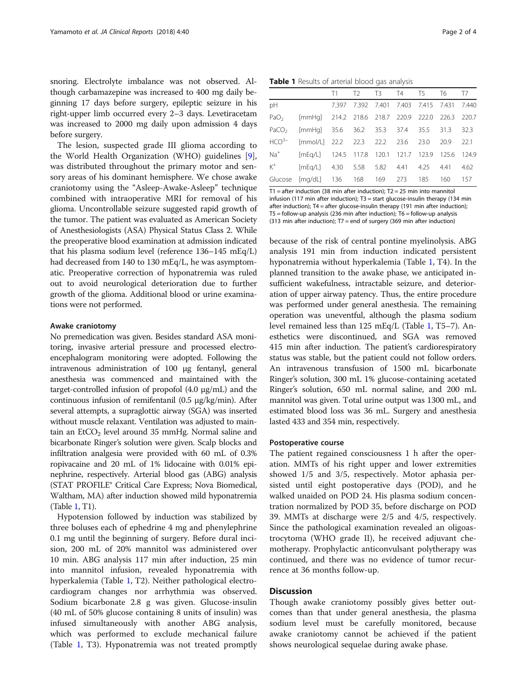snoring. Electrolyte imbalance was not observed. Although carbamazepine was increased to 400 mg daily beginning 17 days before surgery, epileptic seizure in his right-upper limb occurred every 2–3 days. Levetiracetam was increased to 2000 mg daily upon admission 4 days before surgery.

The lesion, suspected grade III glioma according to the World Health Organization (WHO) guidelines [\[9](#page-3-0)], was distributed throughout the primary motor and sensory areas of his dominant hemisphere. We chose awake craniotomy using the "Asleep-Awake-Asleep" technique combined with intraoperative MRI for removal of his glioma. Uncontrollable seizure suggested rapid growth of the tumor. The patient was evaluated as American Society of Anesthesiologists (ASA) Physical Status Class 2. While the preoperative blood examination at admission indicated that his plasma sodium level (reference 136–145 mEq/L) had decreased from 140 to 130 mEq/L, he was asymptomatic. Preoperative correction of hyponatremia was ruled out to avoid neurological deterioration due to further growth of the glioma. Additional blood or urine examinations were not performed.

#### Awake craniotomy

No premedication was given. Besides standard ASA monitoring, invasive arterial pressure and processed electroencephalogram monitoring were adopted. Following the intravenous administration of 100 μg fentanyl, general anesthesia was commenced and maintained with the target-controlled infusion of propofol (4.0 μg/mL) and the continuous infusion of remifentanil (0.5 μg/kg/min). After several attempts, a supraglottic airway (SGA) was inserted without muscle relaxant. Ventilation was adjusted to maintain an EtCO<sub>2</sub> level around 35 mmHg. Normal saline and bicarbonate Ringer's solution were given. Scalp blocks and infiltration analgesia were provided with 60 mL of 0.3% ropivacaine and 20 mL of 1% lidocaine with 0.01% epinephrine, respectively. Arterial blood gas (ABG) analysis (STAT PROFILE® Critical Care Express; Nova Biomedical, Waltham, MA) after induction showed mild hyponatremia (Table 1, T1).

Hypotension followed by induction was stabilized by three boluses each of ephedrine 4 mg and phenylephrine 0.1 mg until the beginning of surgery. Before dural incision, 200 mL of 20% mannitol was administered over 10 min. ABG analysis 117 min after induction, 25 min into mannitol infusion, revealed hyponatremia with hyperkalemia (Table 1, T2). Neither pathological electrocardiogram changes nor arrhythmia was observed. Sodium bicarbonate 2.8 g was given. Glucose-insulin (40 mL of 50% glucose containing 8 units of insulin) was infused simultaneously with another ABG analysis, which was performed to exclude mechanical failure (Table 1, T3). Hyponatremia was not treated promptly

Table 1 Results of arterial blood gas analysis

|       |                                                                   | T1 |                                           | T2 T3 T4 T5 T6 T7 |           |      |
|-------|-------------------------------------------------------------------|----|-------------------------------------------|-------------------|-----------|------|
| pH    |                                                                   |    | 7.397 7.392 7.401 7.403 7.415 7.431 7.440 |                   |           |      |
|       | PaO <sub>2</sub> [mmHq] 214.2 218.6 218.7 220.9 222.0 226.3 220.7 |    |                                           |                   |           |      |
|       | PaCO <sub>2</sub> [mmHg] 35.6 36.2 35.3 37.4 35.5 31.3 32.3       |    |                                           |                   |           |      |
|       | $HCO^{3-}$ [mmol/L] 22.2 22.3 22.2 23.6 23.0                      |    |                                           |                   | 20.9 22.1 |      |
| $Na+$ | [mEg/L] 124.5 117.8 120.1 121.7 123.9 125.6 124.9                 |    |                                           |                   |           |      |
| $K^+$ | [mEq/L] 4.30 5.58 5.82 4.41 4.25 4.41                             |    |                                           |                   |           | 4.62 |
|       | Glucose [mg/dL] 136 168 169 273 185 160 157                       |    |                                           |                   |           |      |

T1 = after induction (38 min after induction);  $T2 = 25$  min into mannitol infusion (117 min after induction); T3 = start glucose-insulin therapy (134 min after induction); T4 = after glucose-insulin therapy (191 min after induction); T5 = follow-up analysis (236 min after induction); T6 = follow-up analysis (313 min after induction); T7 = end of surgery (369 min after induction)

because of the risk of central pontine myelinolysis. ABG analysis 191 min from induction indicated persistent hyponatremia without hyperkalemia (Table 1, T4). In the planned transition to the awake phase, we anticipated insufficient wakefulness, intractable seizure, and deterioration of upper airway patency. Thus, the entire procedure was performed under general anesthesia. The remaining operation was uneventful, although the plasma sodium level remained less than 125 mEq/L (Table 1, T5–7). Anesthetics were discontinued, and SGA was removed 415 min after induction. The patient's cardiorespiratory status was stable, but the patient could not follow orders. An intravenous transfusion of 1500 mL bicarbonate Ringer's solution, 300 mL 1% glucose-containing acetated Ringer's solution, 650 mL normal saline, and 200 mL mannitol was given. Total urine output was 1300 mL, and estimated blood loss was 36 mL. Surgery and anesthesia lasted 433 and 354 min, respectively.

#### Postoperative course

The patient regained consciousness 1 h after the operation. MMTs of his right upper and lower extremities showed 1/5 and 3/5, respectively. Motor aphasia persisted until eight postoperative days (POD), and he walked unaided on POD 24. His plasma sodium concentration normalized by POD 35, before discharge on POD 39. MMTs at discharge were 2/5 and 4/5, respectively. Since the pathological examination revealed an oligoastrocytoma (WHO grade II), he received adjuvant chemotherapy. Prophylactic anticonvulsant polytherapy was continued, and there was no evidence of tumor recurrence at 36 months follow-up.

#### **Discussion**

Though awake craniotomy possibly gives better outcomes than that under general anesthesia, the plasma sodium level must be carefully monitored, because awake craniotomy cannot be achieved if the patient shows neurological sequelae during awake phase.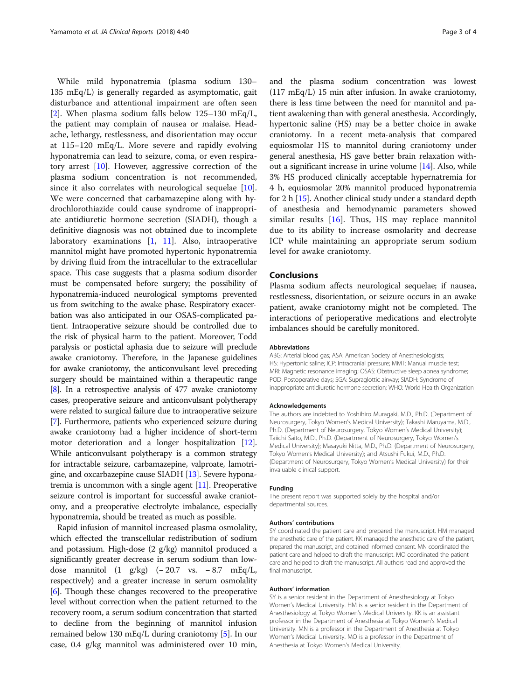While mild hyponatremia (plasma sodium 130– 135 mEq/L) is generally regarded as asymptomatic, gait disturbance and attentional impairment are often seen [[2\]](#page-3-0). When plasma sodium falls below  $125-130$  mEq/L, the patient may complain of nausea or malaise. Headache, lethargy, restlessness, and disorientation may occur at 115–120 mEq/L. More severe and rapidly evolving hyponatremia can lead to seizure, coma, or even respiratory arrest [\[10\]](#page-3-0). However, aggressive correction of the plasma sodium concentration is not recommended, since it also correlates with neurological sequelae [\[10](#page-3-0)]. We were concerned that carbamazepine along with hydrochlorothiazide could cause syndrome of inappropriate antidiuretic hormone secretion (SIADH), though a definitive diagnosis was not obtained due to incomplete laboratory examinations [[1,](#page-3-0) [11\]](#page-3-0). Also, intraoperative mannitol might have promoted hypertonic hyponatremia by driving fluid from the intracellular to the extracellular space. This case suggests that a plasma sodium disorder must be compensated before surgery; the possibility of hyponatremia-induced neurological symptoms prevented us from switching to the awake phase. Respiratory exacerbation was also anticipated in our OSAS-complicated patient. Intraoperative seizure should be controlled due to the risk of physical harm to the patient. Moreover, Todd paralysis or postictal aphasia due to seizure will preclude awake craniotomy. Therefore, in the Japanese guidelines for awake craniotomy, the anticonvulsant level preceding surgery should be maintained within a therapeutic range [[8](#page-3-0)]. In a retrospective analysis of 477 awake craniotomy cases, preoperative seizure and anticonvulsant polytherapy were related to surgical failure due to intraoperative seizure [[7](#page-3-0)]. Furthermore, patients who experienced seizure during awake craniotomy had a higher incidence of short-term motor deterioration and a longer hospitalization [[12](#page-3-0)]. While anticonvulsant polytherapy is a common strategy for intractable seizure, carbamazepine, valproate, lamotrigine, and oxcarbazepine cause SIADH [[13](#page-3-0)]. Severe hyponatremia is uncommon with a single agent [[11](#page-3-0)]. Preoperative seizure control is important for successful awake craniotomy, and a preoperative electrolyte imbalance, especially hyponatremia, should be treated as much as possible.

Rapid infusion of mannitol increased plasma osmolality, which effected the transcellular redistribution of sodium and potassium. High-dose (2 g/kg) mannitol produced a significantly greater decrease in serum sodium than lowdose mannitol (1 g/kg) (− 20.7 vs. − 8.7 mEq/L, respectively) and a greater increase in serum osmolality [[6\]](#page-3-0). Though these changes recovered to the preoperative level without correction when the patient returned to the recovery room, a serum sodium concentration that started to decline from the beginning of mannitol infusion remained below 130 mEq/L during craniotomy [\[5](#page-3-0)]. In our case, 0.4 g/kg mannitol was administered over 10 min,

and the plasma sodium concentration was lowest (117 mEq/L) 15 min after infusion. In awake craniotomy, there is less time between the need for mannitol and patient awakening than with general anesthesia. Accordingly, hypertonic saline (HS) may be a better choice in awake craniotomy. In a recent meta-analysis that compared equiosmolar HS to mannitol during craniotomy under general anesthesia, HS gave better brain relaxation without a significant increase in urine volume [[14](#page-3-0)]. Also, while 3% HS produced clinically acceptable hypernatremia for 4 h, equiosmolar 20% mannitol produced hyponatremia for 2 h [\[15\]](#page-3-0). Another clinical study under a standard depth of anesthesia and hemodynamic parameters showed similar results [[16\]](#page-3-0). Thus, HS may replace mannitol due to its ability to increase osmolarity and decrease ICP while maintaining an appropriate serum sodium level for awake craniotomy.

### Conclusions

Plasma sodium affects neurological sequelae; if nausea, restlessness, disorientation, or seizure occurs in an awake patient, awake craniotomy might not be completed. The interactions of perioperative medications and electrolyte imbalances should be carefully monitored.

#### Abbreviations

ABG: Arterial blood gas; ASA: American Society of Anesthesiologists; HS: Hypertonic saline; ICP: Intracranial pressure; MMT: Manual muscle test; MRI: Magnetic resonance imaging; OSAS: Obstructive sleep apnea syndrome; POD: Postoperative days; SGA: Supraglottic airway; SIADH: Syndrome of inappropriate antidiuretic hormone secretion; WHO: World Health Organization

#### Acknowledgements

The authors are indebted to Yoshihiro Muragaki, M.D., Ph.D. (Department of Neurosurgery, Tokyo Women's Medical University); Takashi Maruyama, M.D., Ph.D. (Department of Neurosurgery, Tokyo Women's Medical University); Taiichi Saito, M.D., Ph.D. (Department of Neurosurgery, Tokyo Women's Medical University); Masayuki Nitta, M.D., Ph.D. (Department of Neurosurgery, Tokyo Women's Medical University); and Atsushi Fukui, M.D., Ph.D. (Department of Neurosurgery, Tokyo Women's Medical University) for their invaluable clinical support.

#### Funding

The present report was supported solely by the hospital and/or departmental sources.

#### Authors' contributions

SY coordinated the patient care and prepared the manuscript. HM managed the anesthetic care of the patient. KK managed the anesthetic care of the patient, prepared the manuscript, and obtained informed consent. MN coordinated the patient care and helped to draft the manuscript. MO coordinated the patient care and helped to draft the manuscript. All authors read and approved the final manuscript.

#### Authors' information

SY is a senior resident in the Department of Anesthesiology at Tokyo Women's Medical University. HM is a senior resident in the Department of Anesthesiology at Tokyo Women's Medical University. KK is an assistant professor in the Department of Anesthesia at Tokyo Women's Medical University. MN is a professor in the Department of Anesthesia at Tokyo Women's Medical University. MO is a professor in the Department of Anesthesia at Tokyo Women's Medical University.